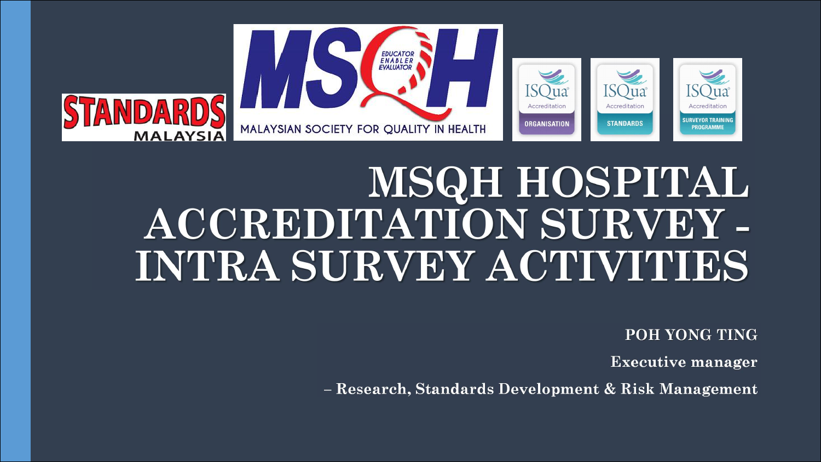

# MSQH HOSPITAL ACCREDITATION SURVEY-INTRA SURVEY ACTIVITIES

POH YONG TING

**Executive manager** 

- Research, Standards Development & Risk Management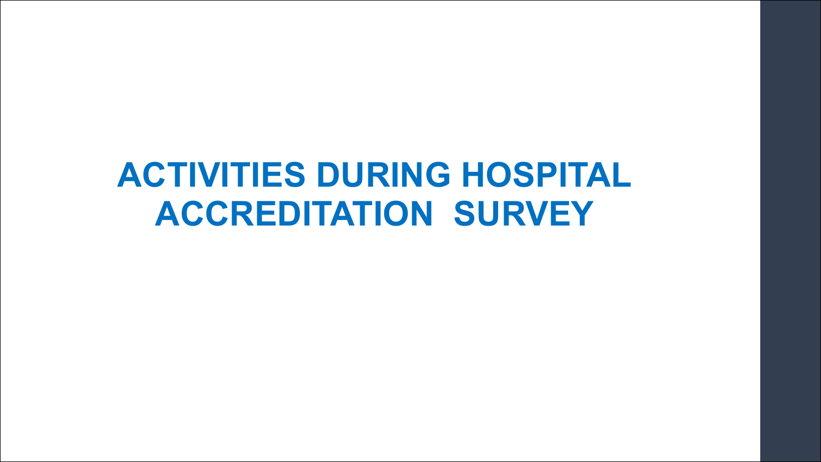### **ACTIVITIES DURING HOSPITAL ACCREDITATION SURVEY**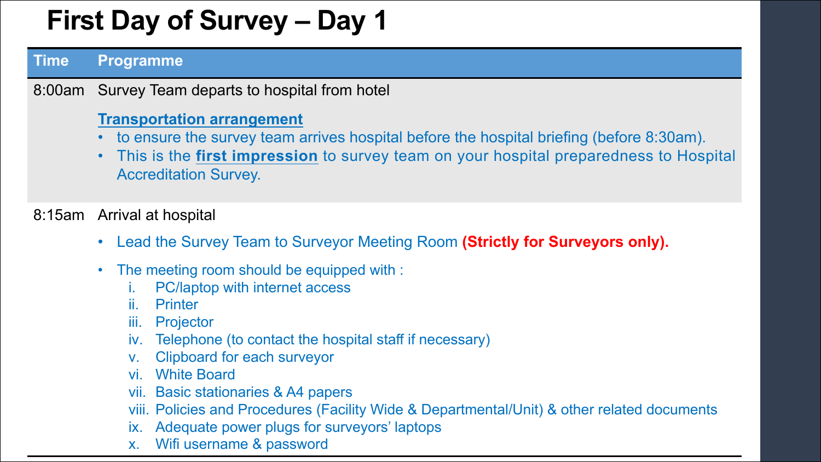### **First Day of Survey – Day 1**

#### **Time Programme**

8:00am Survey Team departs to hospital from hotel

### **Transportation arrangement**

- to ensure the survey team arrives hospital before the hospital briefing (before 8:30am).
- This is the **first impression** to survey team on your hospital preparedness to Hospital Accreditation Survey.

### 8:15am Arrival at hospital

- Lead the Survey Team to Surveyor Meeting Room **(Strictly for Surveyors only).**
- The meeting room should be equipped with :
	- i. PC/laptop with internet access
	- ii. Printer
	- iii. Projector
	- iv. Telephone (to contact the hospital staff if necessary)
	- v. Clipboard for each surveyor
	- vi. White Board
	- vii. Basic stationaries & A4 papers
	- viii. Policies and Procedures (Facility Wide & Departmental/Unit) & other related documents
	- ix. Adequate power plugs for surveyors' laptops
	- x. Wifi username & password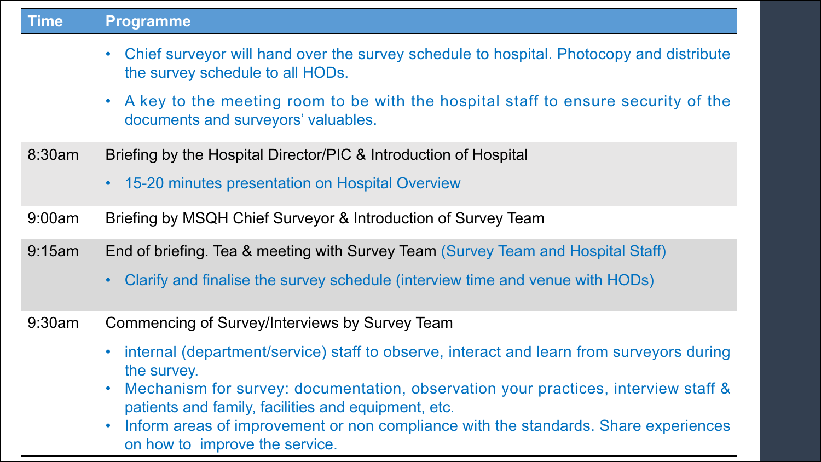#### **Time Programme**

- Chief surveyor will hand over the survey schedule to hospital. Photocopy and distribute the survey schedule to all HODs.
- A key to the meeting room to be with the hospital staff to ensure security of the documents and surveyors' valuables.
- 8:30am Briefing by the Hospital Director/PIC & Introduction of Hospital
	- 15-20 minutes presentation on Hospital Overview
- 9:00am Briefing by MSQH Chief Surveyor & Introduction of Survey Team
- 9:15am End of briefing. Tea & meeting with Survey Team (Survey Team and Hospital Staff)
	- Clarify and finalise the survey schedule (interview time and venue with HODs)
- 9:30am Commencing of Survey/Interviews by Survey Team
	- internal (department/service) staff to observe, interact and learn from surveyors during the survey.
	- Mechanism for survey: documentation, observation your practices, interview staff & patients and family, facilities and equipment, etc.
	- Inform areas of improvement or non compliance with the standards. Share experiences on how to improve the service.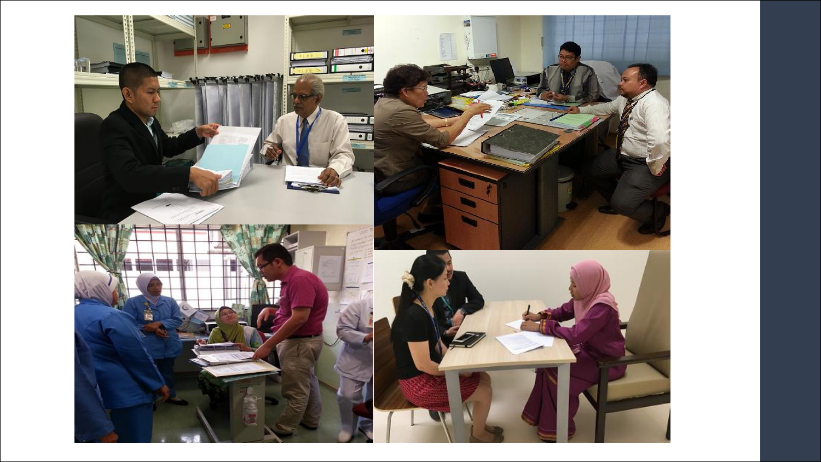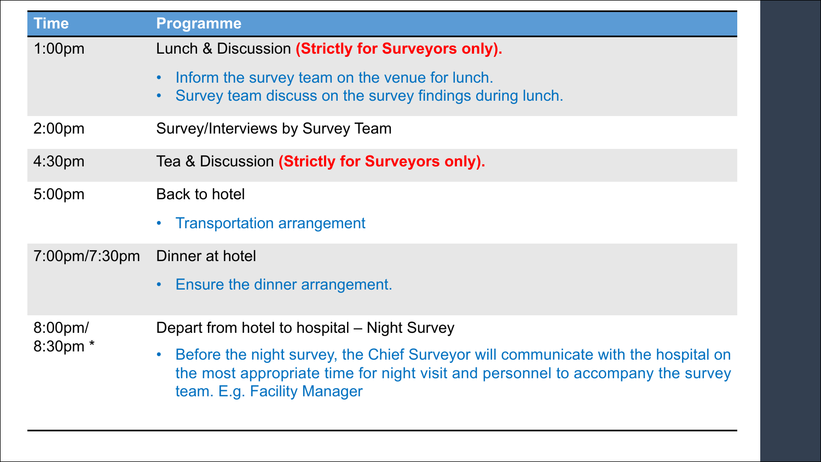| <b>Time</b>            | <b>Programme</b>                                                                                                                                                                                                 |
|------------------------|------------------------------------------------------------------------------------------------------------------------------------------------------------------------------------------------------------------|
| 1:00 <sub>pm</sub>     | Lunch & Discussion (Strictly for Surveyors only).                                                                                                                                                                |
|                        | Inform the survey team on the venue for lunch.<br>$\bullet$<br>Survey team discuss on the survey findings during lunch.<br>$\bullet$                                                                             |
| 2:00 <sub>pm</sub>     | Survey/Interviews by Survey Team                                                                                                                                                                                 |
| 4:30 <sub>pm</sub>     | Tea & Discussion (Strictly for Surveyors only).                                                                                                                                                                  |
| 5:00pm                 | <b>Back to hotel</b>                                                                                                                                                                                             |
|                        | <b>Transportation arrangement</b><br>$\bullet$                                                                                                                                                                   |
| 7:00pm/7:30pm          | Dinner at hotel                                                                                                                                                                                                  |
|                        | Ensure the dinner arrangement.<br>$\bullet$                                                                                                                                                                      |
| $8:00$ pm/<br>8:30pm * | Depart from hotel to hospital – Night Survey                                                                                                                                                                     |
|                        | Before the night survey, the Chief Surveyor will communicate with the hospital on<br>$\bullet$<br>the most appropriate time for night visit and personnel to accompany the survey<br>team. E.g. Facility Manager |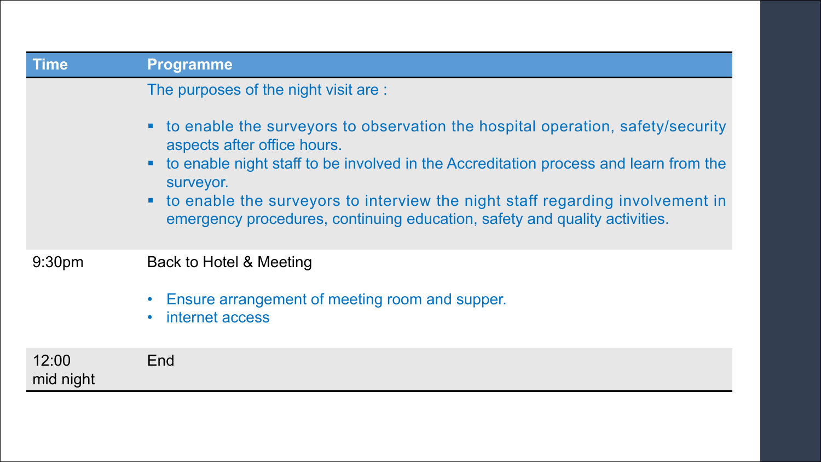| <b>Time</b>        | <b>Programme</b>                                                                                                                                                                                                                                                                                                                                                                        |
|--------------------|-----------------------------------------------------------------------------------------------------------------------------------------------------------------------------------------------------------------------------------------------------------------------------------------------------------------------------------------------------------------------------------------|
|                    | The purposes of the night visit are:                                                                                                                                                                                                                                                                                                                                                    |
|                    | • to enable the surveyors to observation the hospital operation, safety/security<br>aspects after office hours.<br>• to enable night staff to be involved in the Accreditation process and learn from the<br>surveyor.<br>• to enable the surveyors to interview the night staff regarding involvement in<br>emergency procedures, continuing education, safety and quality activities. |
| 9:30 <sub>pm</sub> | Back to Hotel & Meeting                                                                                                                                                                                                                                                                                                                                                                 |
|                    | Ensure arrangement of meeting room and supper.<br>internet access                                                                                                                                                                                                                                                                                                                       |
| 12:00<br>mid night | End                                                                                                                                                                                                                                                                                                                                                                                     |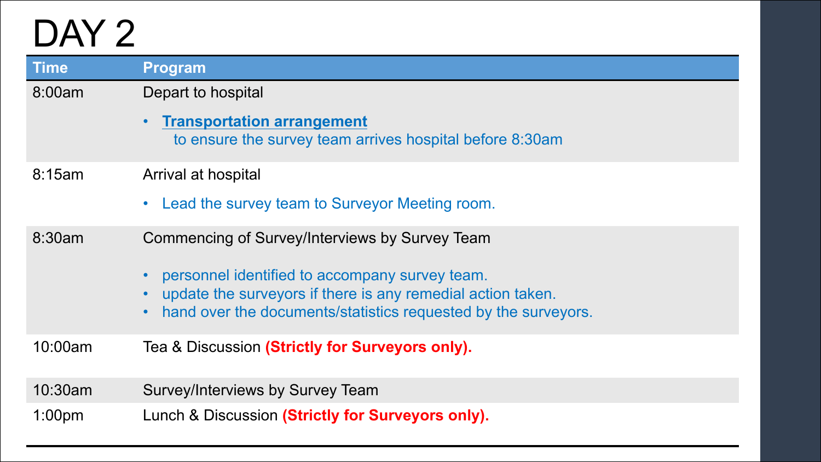## DAY 2

| <u>Time</u>        | <b>Program</b>                                                                                                                                                                               |
|--------------------|----------------------------------------------------------------------------------------------------------------------------------------------------------------------------------------------|
| 8:00am             | Depart to hospital                                                                                                                                                                           |
|                    | <b>Transportation arrangement</b><br>to ensure the survey team arrives hospital before 8:30am                                                                                                |
| 8:15am             | Arrival at hospital                                                                                                                                                                          |
|                    | Lead the survey team to Surveyor Meeting room.<br>$\bullet$                                                                                                                                  |
| 8:30am             | Commencing of Survey/Interviews by Survey Team                                                                                                                                               |
|                    | personnel identified to accompany survey team.<br>update the surveyors if there is any remedial action taken.<br>hand over the documents/statistics requested by the surveyors.<br>$\bullet$ |
| 10:00am            | Tea & Discussion (Strictly for Surveyors only).                                                                                                                                              |
| $10:30$ am         | Survey/Interviews by Survey Team                                                                                                                                                             |
| 1:00 <sub>pm</sub> | Lunch & Discussion (Strictly for Surveyors only).                                                                                                                                            |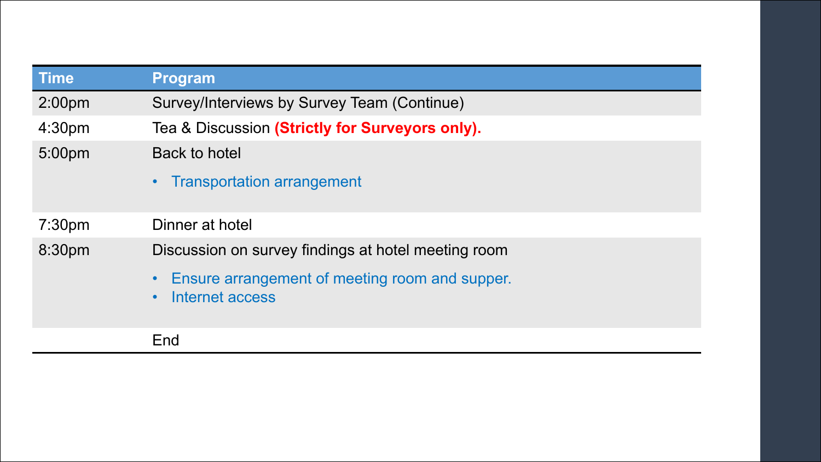| <b>Time</b>        | <b>Program</b>                                                                              |
|--------------------|---------------------------------------------------------------------------------------------|
| 2:00 <sub>pm</sub> | Survey/Interviews by Survey Team (Continue)                                                 |
| 4:30 <sub>pm</sub> | Tea & Discussion (Strictly for Surveyors only).                                             |
| 5:00pm             | Back to hotel                                                                               |
|                    | <b>Transportation arrangement</b><br>$\bullet$                                              |
| 7:30 <sub>pm</sub> | Dinner at hotel                                                                             |
| 8:30pm             | Discussion on survey findings at hotel meeting room                                         |
|                    | Ensure arrangement of meeting room and supper.<br>$\bullet$<br>Internet access<br>$\bullet$ |
|                    | End                                                                                         |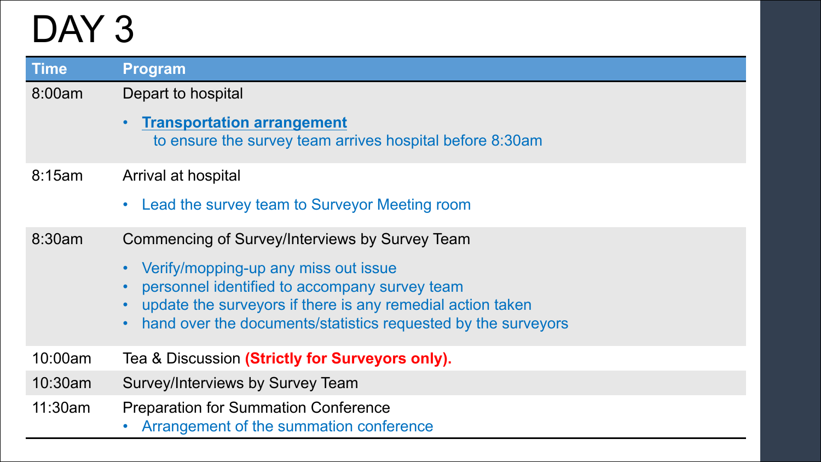## DAY 3

| <b>Time</b> | <b>Program</b>                                                                                                                                                                                                                                 |
|-------------|------------------------------------------------------------------------------------------------------------------------------------------------------------------------------------------------------------------------------------------------|
| 8:00am      | Depart to hospital                                                                                                                                                                                                                             |
|             | <b>Transportation arrangement</b><br>$\bullet$<br>to ensure the survey team arrives hospital before 8:30am                                                                                                                                     |
| 8:15am      | Arrival at hospital                                                                                                                                                                                                                            |
|             | Lead the survey team to Surveyor Meeting room<br>$\bullet$                                                                                                                                                                                     |
| 8:30am      | Commencing of Survey/Interviews by Survey Team                                                                                                                                                                                                 |
|             | Verify/mopping-up any miss out issue<br>$\bullet$<br>personnel identified to accompany survey team<br>update the surveyors if there is any remedial action taken<br>hand over the documents/statistics requested by the surveyors<br>$\bullet$ |
| $10:00$ am  | Tea & Discussion (Strictly for Surveyors only).                                                                                                                                                                                                |
| $10:30$ am  | Survey/Interviews by Survey Team                                                                                                                                                                                                               |
| 11:30am     | <b>Preparation for Summation Conference</b><br>Arrangement of the summation conference                                                                                                                                                         |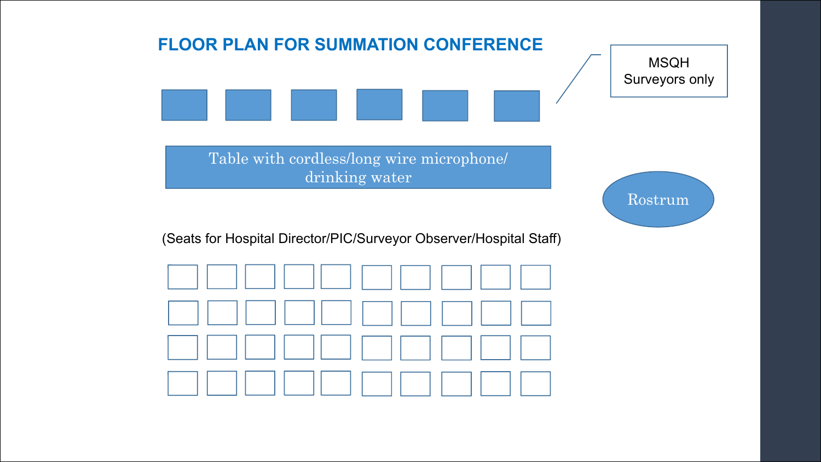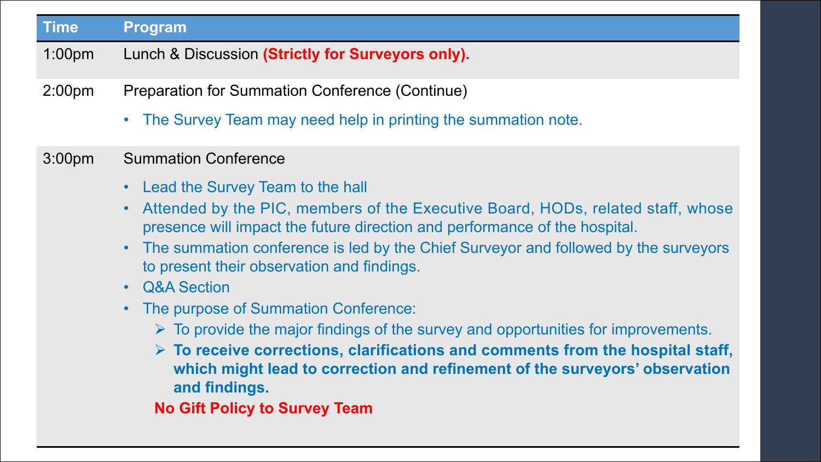#### **Time Program**

- 1:00pm Lunch & Discussion **(Strictly for Surveyors only).**
- 2:00pm Preparation for Summation Conference (Continue)
	- The Survey Team may need help in printing the summation note.

### 3:00pm Summation Conference

- Lead the Survey Team to the hall
- Attended by the PIC, members of the Executive Board, HODs, related staff, whose presence will impact the future direction and performance of the hospital.
- The summation conference is led by the Chief Surveyor and followed by the surveyors to present their observation and findings.
- Q&A Section
- The purpose of Summation Conference:
	- $\triangleright$  To provide the major findings of the survey and opportunities for improvements.
	- Ø **To receive corrections, clarifications and comments from the hospital staff, which might lead to correction and refinement of the surveyors' observation and findings.**

**No Gift Policy to Survey Team**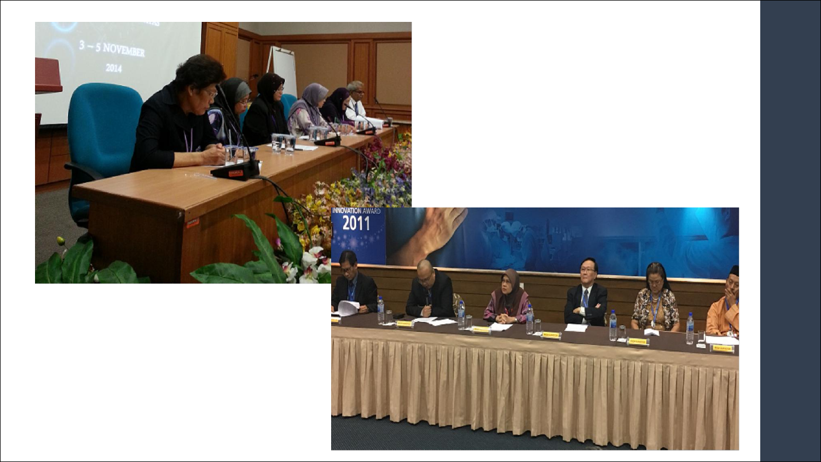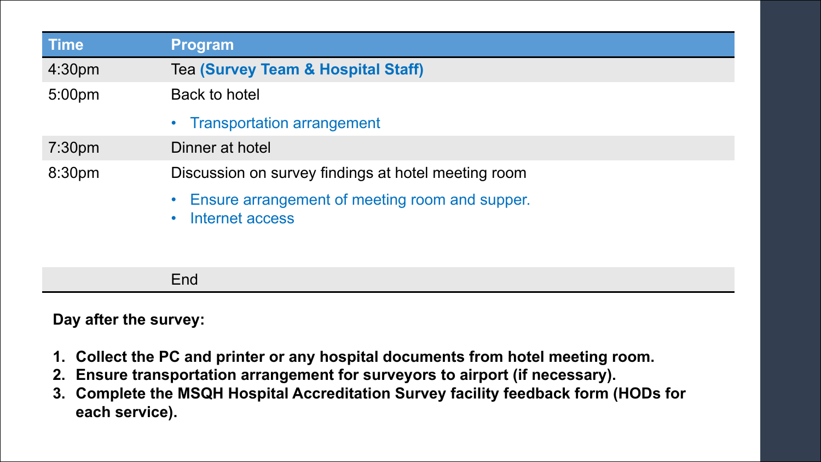| <b>Time</b>        | <b>Program</b>                                                                   |
|--------------------|----------------------------------------------------------------------------------|
| 4:30 <sub>pm</sub> | Tea (Survey Team & Hospital Staff)                                               |
| 5:00 <sub>pm</sub> | Back to hotel                                                                    |
|                    | • Transportation arrangement                                                     |
| 7:30 <sub>pm</sub> | Dinner at hotel                                                                  |
| 8:30pm             | Discussion on survey findings at hotel meeting room                              |
|                    | • Ensure arrangement of meeting room and supper.<br>Internet access<br>$\bullet$ |

**End** 

**Day after the survey:**

- **1. Collect the PC and printer or any hospital documents from hotel meeting room.**
- **2. Ensure transportation arrangement for surveyors to airport (if necessary).**
- **3. Complete the MSQH Hospital Accreditation Survey facility feedback form (HODs for each service).**